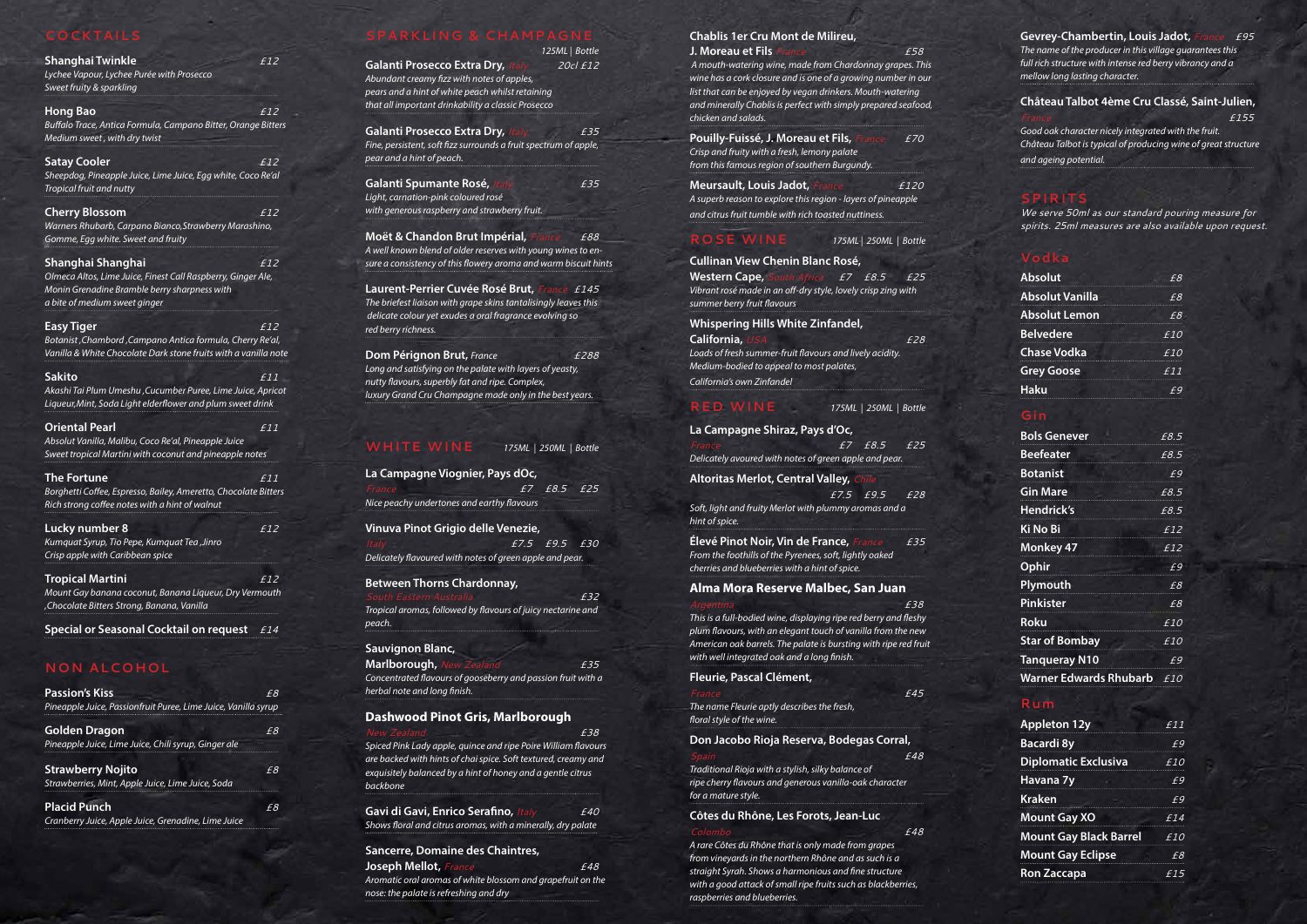## **COCKTAILS**

| Shanghai Twinkle<br>Lychee Vapour, Lychee Purée with Prosecco<br>Sweet fruity & sparkling                                                     | <i>£12</i> |
|-----------------------------------------------------------------------------------------------------------------------------------------------|------------|
| <b>Hong Bao</b>                                                                                                                               | £12        |
| Buffalo Trace, Antica Formula, Campano Bitter, Orange Bitters<br>Medium sweet, with dry twist                                                 |            |
| <b>Satay Cooler</b>                                                                                                                           | £12        |
| Sheepdog, Pineapple Juice, Lime Juice, Egg white, Coco Re'al<br>Tropical fruit and nutty                                                      |            |
| <b>Cherry Blossom</b>                                                                                                                         | <i>£12</i> |
| Warners Rhubarb, Carpano Bianco, Strawberry Marashino,<br>Gomme, Egg white. Sweet and fruity                                                  |            |
|                                                                                                                                               |            |
| Shanghai Shanghai                                                                                                                             | <i>£12</i> |
| Olmeca Altos, Lime Juice, Finest Call Raspberry, Ginger Ale,<br>Monin Grenadine Bramble berry sharpness with<br>a bite of medium sweet ginger |            |
|                                                                                                                                               |            |
| <b>Easy Tiger</b>                                                                                                                             | £12        |
| Botanist, Chambord, Campano Antica formula, Cherry Re'al,                                                                                     |            |
| Vanilla & White Chocolate Dark stone fruits with a vanilla note                                                                               |            |
| <b>Sakito</b>                                                                                                                                 | <i>£11</i> |
| Akashi Tai Plum Umeshu , Cucumber Puree, Lime Juice, Apricot                                                                                  |            |
| Liqueur, Mint, Soda Light elderflower and plum sweet drink                                                                                    |            |
| <b>Oriental Pearl</b>                                                                                                                         | <i>£11</i> |
| Absolut Vanilla, Malibu, Coco Re'al, Pineapple Juice                                                                                          |            |
| Sweet tropical Martini with coconut and pineapple notes                                                                                       |            |
| The Fortune                                                                                                                                   | <i>f11</i> |
| Borghetti Coffee, Espresso, Bailey, Ameretto, Chocolate Bitters                                                                               |            |
| Rich strong coffee notes with a hint of walnut                                                                                                |            |
| Lucky number 8                                                                                                                                | <i>£12</i> |
| Kumquat Syrup, Tio Pepe, Kumquat Tea ,Jinro                                                                                                   |            |
|                                                                                                                                               |            |
| Crisp apple with Caribbean spice                                                                                                              |            |
|                                                                                                                                               |            |
| <b>Tropical Martini</b><br>Mount Gay banana coconut, Banana Liqueur, Dry Vermouth<br>Chocolate Bitters Strong, Banana, Vanilla                | £12        |
| <b>Special or Seasonal Cocktail on request</b>                                                                                                |            |

## **NON ALCOHOL**

| <b>Passion's Kiss</b><br>Pineapple Juice, Passionfruit Puree, Lime Juice, Vanilla syrup | F8 |
|-----------------------------------------------------------------------------------------|----|
| <b>Golden Dragon</b><br>Pineapple Juice, Lime Juice, Chili syrup, Ginger ale            | f8 |
| <b>Strawberry Nojito</b><br>Strawberries, Mint, Apple Juice, Lime Juice, Soda           | F8 |
| <b>Placid Punch</b><br>Cranberry Juice, Apple Juice, Grenadine, Lime Juice              | F8 |

## **SPARKLING & CHAMPAGNE**

*125ML | Bottle* 

| Galanti Prosecco Extra Dry, Italy                  | 20cl £12 |
|----------------------------------------------------|----------|
| Abundant creamy fizz with notes of apples,         |          |
| pears and a hint of white peach whilst retaining   |          |
| that all important drinkability a classic Prosecco |          |

| <b>Galanti Prosecco Extra Dry, Italy</b>                         | £35 |
|------------------------------------------------------------------|-----|
| Fine, persistent, soft fizz surrounds a fruit spectrum of apple, |     |
| pear and a hint of peach."                                       |     |

| Galanti Spumante Rosé, Italy                  | £35 |
|-----------------------------------------------|-----|
| Light, carnation-pink coloured rosé           |     |
| with generous raspberry and strawberry fruit. |     |

**Moët & Chandon Brut Impérial,** *France £88 A well known blend of older reserves with young wines to ensure a consistency of this flowery aroma and warm biscuit hints*

**Laurent-Perrier Cuvée Rosé Brut,** *France £145 The briefest liaison with grape skins tantalisingly leaves this delicate colour yet exudes a oral fragrance evolving so red berry richness.*

**Dom Pérignon Brut,** *France £288 Long and satisfying on the palate with layers of yeasty, nutty flavours, superbly fat and ripe. Complex, luxury Grand Cru Champagne made only in the best years.* 

## **WHITE WINE** *175ML | 250ML | Bottle*

| La Campagne Viognier, Pays dOc,            |  |             |  |
|--------------------------------------------|--|-------------|--|
| France                                     |  | f7 f8.5 f25 |  |
| Nice peachy undertones and earthy flavours |  |             |  |
| Vinuva Pinot Grigio delle Venezie,         |  |             |  |

| ltalv                                                    | £7.5 £9.5 £30 |  |
|----------------------------------------------------------|---------------|--|
| Delicately flavoured with notes of green apple and pear. |               |  |

#### **Between Thorns Chardonnay,**

| South Eastern Australia                                      | F32 |
|--------------------------------------------------------------|-----|
| Tropical aromas, followed by flavours of juicy nectarine and |     |
| peach.                                                       |     |

#### **Sauvignon Blanc,**

| Marlborough, New Zealand                                     | £35 |
|--------------------------------------------------------------|-----|
| Concentrated flavours of gooseberry and passion fruit with a |     |
| herbal note and long finish.                                 |     |

#### **Dashwood Pinot Gris, Marlborough**

*New Zealand £38 Spiced Pink Lady apple, quince and ripe Poire William flavours are backed with hints of chai spice. Soft textured, creamy and exquisitely balanced by a hint of honey and a gentle citrus backbone*

**Gavi di Gavi, Enrico Serafino,** *Italy £40 Shows floral and citrus aromas, with a minerally, dry palate*

#### **Sancerre, Domaine des Chaintres, Joseph Mellot,** *France £48 Aromatic oral aromas of white blossom and grapefruit on the nose: the palate is refreshing and dry*

## **Chablis 1er Cru Mont de Milireu,**

**J. Moreau et Fils** *France £58*

 *A mouth-watering wine, made from Chardonnay grapes. This wine has a cork closure and is one of a growing number in our list that can be enjoyed by vegan drinkers. Mouth-watering and minerally Chablis is perfect with simply prepared seafood, chicken and salads.*

**Pouilly-Fuissé, J. Moreau et Fils,** *France £70 Crisp and fruity with a fresh, lemony palate from this famous region of southern Burgundy.*

**Meursault, Louis Jadot,** *France £120 A superb reason to explore this region - layers of pineapple and citrus fruit tumble with rich toasted nuttiness.*

#### **ROSE WINE** *175ML | 250ML | Bottle*

**Cullinan View Chenin Blanc Rosé, Western Cape,** *South Africa £7 £8.5 £25 Vibrant rosé made in an off-dry style, lovely crisp zing with summer berry fruit flavours*.

#### **Whispering Hills White Zinfandel,**

**California,** *USA**£28 Loads of fresh summer-fruit flavours and lively acidity. Medium-bodied to appeal to most palates, California's own Zinfandel* 

#### **RED WINE** *175ML | 250ML | Bottle*

#### **La Campagne Shiraz, Pays d'Oc,**

*France £7 £8.5 £25 Delicately avoured with notes of green apple and pear.*

## **Altoritas Merlot, Central Valley,** *Chile*

*£7.5 £9.5 £28 Soft, light and fruity Merlot with plummy aromas and a hint of spice.* 

**Élevé Pinot Noir, Vin de France,** *France**£35 From the foothills of the Pyrenees, soft, lightly oaked cherries and blueberries with a hint of spice.* 

#### **Alma Mora Reserve Malbec, San Juan**

## *Argentina £38*

*This is a full-bodied wine, displaying ripe red berry and fleshy plum flavours, with an elegant touch of vanilla from the new American oak barrels. The palate is bursting with ripe red fruit with well integrated oak and a long finish.*

#### **Fleurie, Pascal Clément,**

*France £45 The name Fleurie aptly describes the fresh, floral style of the wine.*

## **Don Jacobo Rioja Reserva, Bodegas Corral,**

*Spain £48*

*Traditional Rioja with a stylish, silky balance of ripe cherry flavours and generous vanilla-oak character for a mature style.*

#### **Côtes du Rhône, Les Forots, Jean-Luc**  *Colombo £48*

*A rare Côtes du Rhône that is only made from grapes from vineyards in the northern Rhône and as such is a straight Syrah. Shows a harmonious and fine structure with a good attack of small ripe fruits such as blackberries, raspberries and blueberries.*

**Gevrey-Chambertin, Louis Jadot,** *France £95 The name of the producer in this village guarantees this full rich structure with intense red berry vibrancy and a mellow long lasting character.*

**Château Talbot 4ème Cru Classé, Saint-Julien,**  *France £155*

*Good oak character nicely integrated with the fruit. Château Talbot is typical of producing wine of great structure and ageing potential.*

### **SPIRIT**

*We serve 50ml as our standard pouring measure for spirits. 25ml measures are also available upon request.*

### **Vodka**

| <b>Absolut</b>         | £8         |
|------------------------|------------|
| Absolut Vanilla        | £8         |
| <b>Absolut Lemon</b>   | £8         |
| <b>Belvedere</b>       | £10        |
| <b>Chase Vodka</b>     | <i>£10</i> |
| <b>Grey Goose</b>      | £11        |
| <b>Haku</b>            | £9         |
| Gin                    |            |
| <b>Bols Genever</b>    | £8.5       |
| <b>Beefeater</b>       | £8.5       |
| <b>Botanist</b>        | £9         |
| <b>Gin Mare</b>        | E8.5       |
| <b>Hendrick's</b>      | £8.5       |
| <b>Ki No Bi</b>        | £12        |
| <b>Monkey 47</b>       | £12        |
| Ophir                  | £9         |
| Plymouth               | E8         |
| <b>Pinkister</b>       | £8         |
| Roku                   | <i>£10</i> |
| <b>Star of Bombay</b>  | £10        |
| <b>Tanqueray N10</b>   | £9         |
| Warner Edwards Rhubarb | <i>£10</i> |
|                        |            |

#### **Rum**

| <b>Appleton 12y</b>           | f11 |
|-------------------------------|-----|
| <b>Bacardi 8y</b>             | £9  |
| <b>Diplomatic Exclusiva</b>   | £10 |
| Havana 7y                     | fQ  |
| <b>Kraken</b>                 | F9  |
| <b>Mount Gay XO</b>           | E14 |
| <b>Mount Gay Black Barrel</b> | £10 |
| <b>Mount Gay Eclipse</b>      | F8  |
| <b>Ron Zaccapa</b>            | £15 |